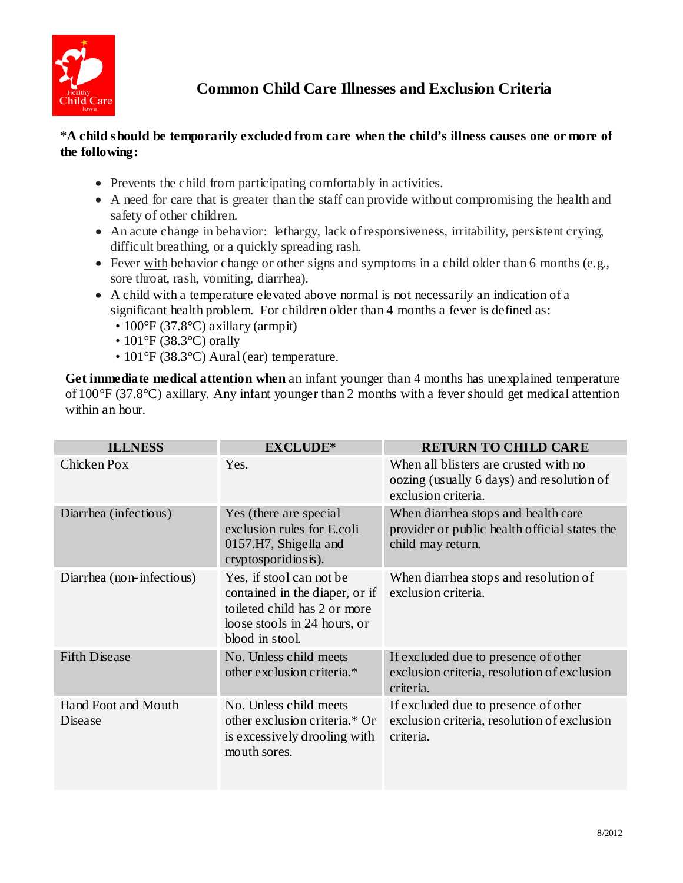

## \***A child should be temporarily excluded from care when the child's illness causes one or more of the following:**

- Prevents the child from participating comfortably in activities.
- • A need for care that is greater than the staff can provide without compromising the health and safety of other children.
- An acute change in behavior: lethargy, lack of responsiveness, irritability, persistent crying, difficult breathing, or a quickly spreading rash.
- Fever with behavior change or other signs and symptoms in a child older than 6 months (e.g., sore throat, rash, vomiting, diarrhea).
- significant health problem. For children older than 4 months a fever is defined as: • A child with a temperature elevated above normal is not necessarily an indication of a
	- 100°F (37.8°C) axillary (armpit)
	- 101°F (38.3°C) orally
	- 101°F (38.3°C) Aural (ear) temperature.

Get immediate medical attention when an infant younger than 4 months has unexplained temperature of 100°F (37.8°C) axillary. Any infant younger than 2 months with a fever should get medical attention within an hour.

| <b>ILLNESS</b>                 | <b>EXCLUDE*</b>                                                                                                                                | <b>RETURN TO CHILD CARE</b>                                                                               |
|--------------------------------|------------------------------------------------------------------------------------------------------------------------------------------------|-----------------------------------------------------------------------------------------------------------|
| Chicken Pox                    | Yes.                                                                                                                                           | When all blisters are crusted with no<br>oozing (usually 6 days) and resolution of<br>exclusion criteria. |
| Diarrhea (infectious)          | Yes (there are special<br>exclusion rules for E.coli<br>0157.H7, Shigella and<br>cryptosporidiosis).                                           | When diarrhea stops and health care<br>provider or public health official states the<br>child may return. |
| Diarrhea (non-infectious)      | Yes, if stool can not be<br>contained in the diaper, or if<br>to ileted child has 2 or more<br>loose stools in 24 hours, or<br>blood in stool. | When diarrhea stops and resolution of<br>exclusion criteria.                                              |
| <b>Fifth Disease</b>           | No. Unless child meets<br>other exclusion criteria.*                                                                                           | If excluded due to presence of other<br>exclusion criteria, resolution of exclusion<br>criteria.          |
| Hand Foot and Mouth<br>Disease | No. Unless child meets<br>other exclusion criteria.* Or<br>is excessively drooling with<br>mouth sores.                                        | If excluded due to presence of other<br>exclusion criteria, resolution of exclusion<br>criteria.          |